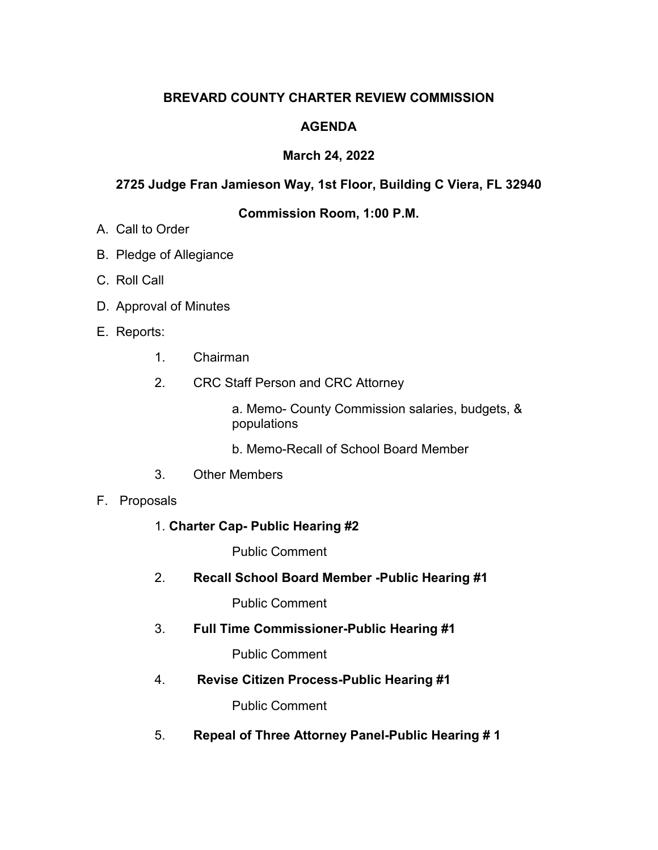# **BREVARD COUNTY CHARTER REVIEW COMMISSION**

# **AGENDA**

# **March 24, 2022**

# **2725 Judge Fran Jamieson Way, 1st Floor, Building C Viera, FL 32940**

# **Commission Room, 1:00 P.M.**

- A. Call to Order
- B. Pledge of Allegiance
- C. Roll Call
- D. Approval of Minutes
- E. Reports:
	- 1. Chairman
	- 2. CRC Staff Person and CRC Attorney

a. Memo- County Commission salaries, budgets, & populations

- b. Memo-Recall of School Board Member
- 3. Other Members

#### F. Proposals

1. **Charter Cap- Public Hearing #2**

Public Comment

2. **Recall School Board Member -Public Hearing #1**

Public Comment

3. **Full Time Commissioner-Public Hearing #1**

Public Comment

4. **Revise Citizen Process-Public Hearing #1**

Public Comment

5. **Repeal of Three Attorney Panel-Public Hearing # 1**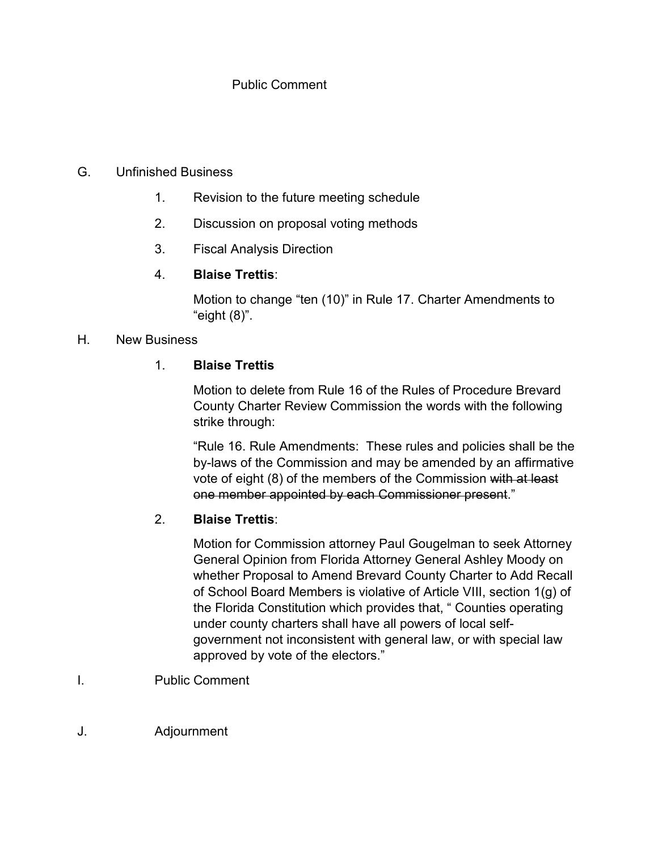### Public Comment

#### G. Unfinished Business

- 1. Revision to the future meeting schedule
- 2. Discussion on proposal voting methods
- 3. Fiscal Analysis Direction

### 4. **Blaise Trettis**:

Motion to change "ten (10)" in Rule 17. Charter Amendments to "eight (8)".

#### H. New Business

### 1. **Blaise Trettis**

Motion to delete from Rule 16 of the Rules of Procedure Brevard County Charter Review Commission the words with the following strike through:

 "Rule 16. Rule Amendments: These rules and policies shall be the by-laws of the Commission and may be amended by an affirmative vote of eight (8) of the members of the Commission with at least one member appointed by each Commissioner present."

# 2. **Blaise Trettis**:

Motion for Commission attorney Paul Gougelman to seek Attorney General Opinion from Florida Attorney General Ashley Moody on whether Proposal to Amend Brevard County Charter to Add Recall of School Board Members is violative of Article VIII, section 1(g) of the Florida Constitution which provides that, " Counties operating under county charters shall have all powers of local selfgovernment not inconsistent with general law, or with special law approved by vote of the electors."

- I. Public Comment
- J. Adjournment